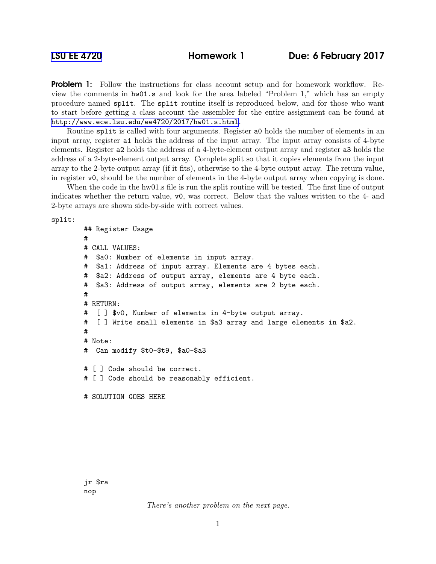**Problem 1:** Follow the instructions for class account setup and for homework workflow. Review the comments in hw01.s and look for the area labeled "Problem 1," which has an empty procedure named split. The split routine itself is reproduced below, and for those who want to start before getting a class account the assembler for the entire assignment can be found at <http://www.ece.lsu.edu/ee4720/2017/hw01.s.html>.

Routine split is called with four arguments. Register a0 holds the number of elements in an input array, register a1 holds the address of the input array. The input array consists of 4-byte elements. Register a2 holds the address of a 4-byte-element output array and register a3 holds the address of a 2-byte-element output array. Complete split so that it copies elements from the input array to the 2-byte output array (if it fits), otherwise to the 4-byte output array. The return value, in register v0, should be the number of elements in the 4-byte output array when copying is done.

When the code in the hw01.s file is run the split routine will be tested. The first line of output indicates whether the return value, v0, was correct. Below that the values written to the 4- and 2-byte arrays are shown side-by-side with correct values.

split:

```
## Register Usage
#
# CALL VALUES:
# $a0: Number of elements in input array.
# $a1: Address of input array. Elements are 4 bytes each.
# $a2: Address of output array, elements are 4 byte each.
# $a3: Address of output array, elements are 2 byte each.
#
# RETURN:
# [ ] $v0, Number of elements in 4-byte output array.
# [ ] Write small elements in $a3 array and large elements in $a2.
#
# Note:
# Can modify $t0-$t9, $a0-$a3
# [ ] Code should be correct.
# [ ] Code should be reasonably efficient.
# SOLUTION GOES HERE
```
There's another problem on the next page.